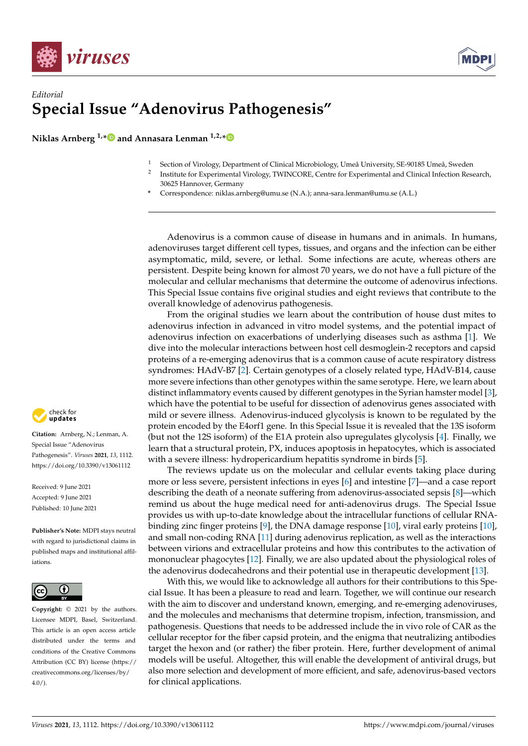



## *Editorial* **Special Issue "Adenovirus Pathogenesis"**

**Niklas Arnberg 1,[\\*](https://orcid.org/0000-0002-7069-6678) and Annasara Lenman 1,2,[\\*](https://orcid.org/0000-0001-5109-9408)**

- <sup>1</sup> Section of Virology, Department of Clinical Microbiology, Umeå University, SE-90185 Umeå, Sweden
- 2 Institute for Experimental Virology, TWINCORE, Centre for Experimental and Clinical Infection Research, 30625 Hannover, Germany
- **\*** Correspondence: niklas.arnberg@umu.se (N.A.); anna-sara.lenman@umu.se (A.L.)

Adenovirus is a common cause of disease in humans and in animals. In humans, adenoviruses target different cell types, tissues, and organs and the infection can be either asymptomatic, mild, severe, or lethal. Some infections are acute, whereas others are persistent. Despite being known for almost 70 years, we do not have a full picture of the molecular and cellular mechanisms that determine the outcome of adenovirus infections. This Special Issue contains five original studies and eight reviews that contribute to the overall knowledge of adenovirus pathogenesis.

From the original studies we learn about the contribution of house dust mites to adenovirus infection in advanced in vitro model systems, and the potential impact of adenovirus infection on exacerbations of underlying diseases such as asthma [\[1\]](#page-1-0). We dive into the molecular interactions between host cell desmoglein-2 receptors and capsid proteins of a re-emerging adenovirus that is a common cause of acute respiratory distress syndromes: HAdV-B7 [\[2\]](#page-1-1). Certain genotypes of a closely related type, HAdV-B14, cause more severe infections than other genotypes within the same serotype. Here, we learn about distinct inflammatory events caused by different genotypes in the Syrian hamster model [\[3\]](#page-1-2), which have the potential to be useful for dissection of adenovirus genes associated with mild or severe illness. Adenovirus-induced glycolysis is known to be regulated by the protein encoded by the E4orf1 gene. In this Special Issue it is revealed that the 13S isoform (but not the 12S isoform) of the E1A protein also upregulates glycolysis [\[4\]](#page-1-3). Finally, we learn that a structural protein, PX, induces apoptosis in hepatocytes, which is associated with a severe illness: hydropericardium hepatitis syndrome in birds [\[5\]](#page-1-4).

The reviews update us on the molecular and cellular events taking place during more or less severe, persistent infections in eyes [\[6\]](#page-1-5) and intestine [\[7\]](#page-1-6)—and a case report describing the death of a neonate suffering from adenovirus-associated sepsis [\[8\]](#page-1-7)—which remind us about the huge medical need for anti-adenovirus drugs. The Special Issue provides us with up-to-date knowledge about the intracellular functions of cellular RNAbinding zinc finger proteins [\[9\]](#page-1-8), the DNA damage response [\[10\]](#page-1-9), viral early proteins [\[10\]](#page-1-9), and small non-coding RNA [\[11\]](#page-1-10) during adenovirus replication, as well as the interactions between virions and extracellular proteins and how this contributes to the activation of mononuclear phagocytes [\[12\]](#page-1-11). Finally, we are also updated about the physiological roles of the adenovirus dodecahedrons and their potential use in therapeutic development [\[13\]](#page-1-12).

With this, we would like to acknowledge all authors for their contributions to this Special Issue. It has been a pleasure to read and learn. Together, we will continue our research with the aim to discover and understand known, emerging, and re-emerging adenoviruses, and the molecules and mechanisms that determine tropism, infection, transmission, and pathogenesis. Questions that needs to be addressed include the in vivo role of CAR as the cellular receptor for the fiber capsid protein, and the enigma that neutralizing antibodies target the hexon and (or rather) the fiber protein. Here, further development of animal models will be useful. Altogether, this will enable the development of antiviral drugs, but also more selection and development of more efficient, and safe, adenovirus-based vectors for clinical applications.



**Citation:** Arnberg, N.; Lenman, A. Special Issue "Adenovirus Pathogenesis". *Viruses* **2021**, *13*, 1112. <https://doi.org/10.3390/v13061112>

Received: 9 June 2021 Accepted: 9 June 2021 Published: 10 June 2021

**Publisher's Note:** MDPI stays neutral with regard to jurisdictional claims in published maps and institutional affiliations.



**Copyright:** © 2021 by the authors. Licensee MDPI, Basel, Switzerland. This article is an open access article distributed under the terms and conditions of the Creative Commons Attribution (CC BY) license (https:/[/](https://creativecommons.org/licenses/by/4.0/) [creativecommons.org/licenses/by/](https://creativecommons.org/licenses/by/4.0/)  $4.0/$ ).